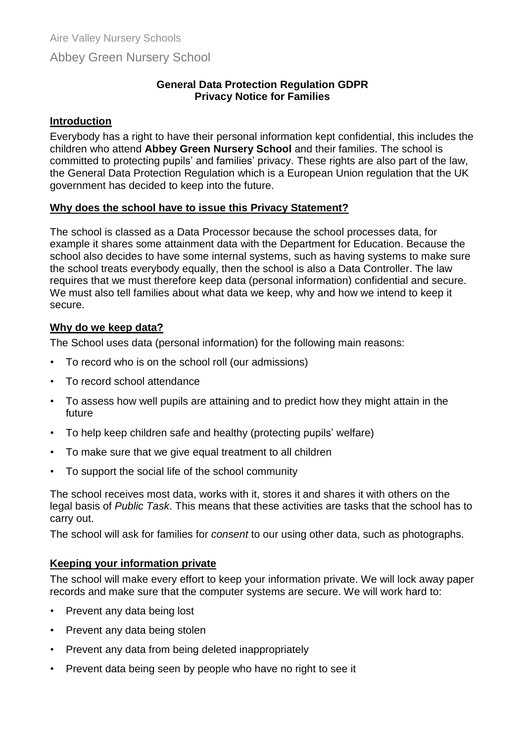# Abbey Green Nursery School

#### **General Data Protection Regulation GDPR Privacy Notice for Families**

#### **Introduction**

Everybody has a right to have their personal information kept confidential, this includes the children who attend **Abbey Green Nursery School** and their families. The school is committed to protecting pupils' and families' privacy. These rights are also part of the law, the General Data Protection Regulation which is a European Union regulation that the UK government has decided to keep into the future.

## **Why does the school have to issue this Privacy Statement?**

The school is classed as a Data Processor because the school processes data, for example it shares some attainment data with the Department for Education. Because the school also decides to have some internal systems, such as having systems to make sure the school treats everybody equally, then the school is also a Data Controller. The law requires that we must therefore keep data (personal information) confidential and secure. We must also tell families about what data we keep, why and how we intend to keep it secure.

## **Why do we keep data?**

The School uses data (personal information) for the following main reasons:

- To record who is on the school roll (our admissions)
- To record school attendance
- To assess how well pupils are attaining and to predict how they might attain in the future
- To help keep children safe and healthy (protecting pupils' welfare)
- To make sure that we give equal treatment to all children
- To support the social life of the school community

The school receives most data, works with it, stores it and shares it with others on the legal basis of *Public Task*. This means that these activities are tasks that the school has to carry out.

The school will ask for families for *consent* to our using other data, such as photographs.

## **Keeping your information private**

The school will make every effort to keep your information private. We will lock away paper records and make sure that the computer systems are secure. We will work hard to:

- Prevent any data being lost
- Prevent any data being stolen
- Prevent any data from being deleted inappropriately
- Prevent data being seen by people who have no right to see it